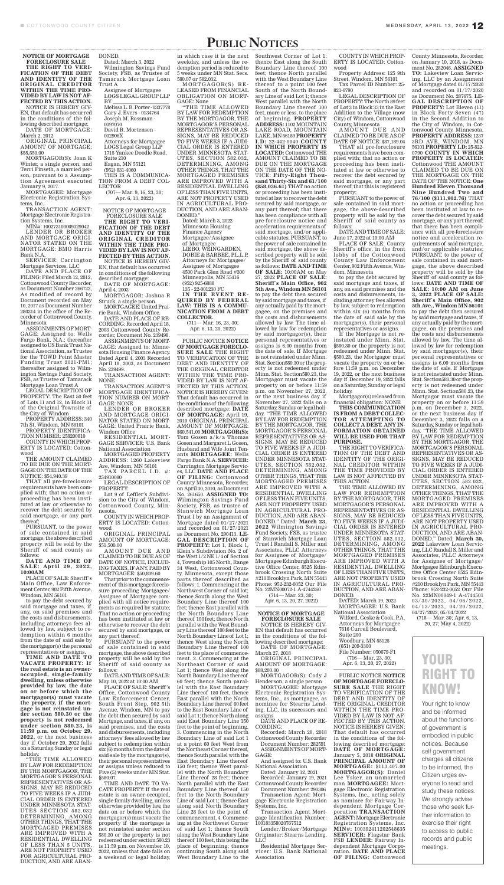## PUBLIC NOTICES

**NOTICE OF MORTGAGE** 

**FORECLOSURE SALE THE RIGHT TO VERI-FICATION OF THE DEBT AND IDENTITY OF THE ORIGINAL CREDITOR WITHIN THE TIME PRO-VIDED BY LAW IS NOT AF-FECTED BY THIS ACTION.** NOTICE IS HEREBY GIV-EN, that default has occurred in the conditions of the following described mortgage: DATE OF MORTGAGE: March 2, 2012

ORIGINAL PRINCIPAL AMOUNT OF MORTGAGE: \$55,550.00

MORTGAGOR(S): Joan K Winter, a single person, and Terri Finseth, a married person, pursuant to a Assumption Agreement executed January 9, 2017.

MORTGAGEE: Mortgage Electronic Registration Systems, Inc.

TRANSACTION AGENT: Mortgage Electronic Registration Systems, Inc.

MIN#: 100273100009329042 LENDER OR BROKER AND MORTGAGE ORIGI-NATOR STATED ON THE MORTGAGE: BMO Harris Bank N.A.

SERVICER: Carrington Mortgage Services, LLC

DATE AND PLACE OF FILING: Filed March 12, 2012, Cottonwood County Recorder, as Document Number 266722, As modified of record by Document recorded on May 10, 2017 as Document Number 280314 in the office of the Recorder of Cottonwood County, Minnesota

ASSIGNMENTS OF MORT-GAGE: Assigned to: Wells Fargo Bank, N.A.; thereafter assigned to US Bank Trust National Association, as Trustee for the TOWD Point Master Funding Trust 2021-PM1; thereafter assigned to Wilmington Savings Fund Society, FSB, as Trustee of Tamarack Mortgage Loan Trust A

LEGAL DESCRIPTION OF PROPERTY: The East 50 feet of Lots 11 and 12, in Block 11 of the Original Townsite of the City of Windom

PROPERTY ADDRESS: 340 7th St, Windom, MN 56101

PROPERTY IDENTIFICA-

TION NUMBER: 258200810 COUNTY IN WHICH PROP-ERTY IS LOCATED: Cottonwood

THE AMOUNT CLAIMED TO BE DUE ON THE MORT-GAGE ON THE DATE OF THE NOTICE: \$54,940.39

(707— Mar. 9, 16, 23, 30; Apr. 6, 13, 2022)

THAT all pre-foreclosure requirements have been complied with; that no action or proceeding has been instituted at law or otherwise to recover the debt secured by said mortgage, or any part thereof; PURSUANT, to the power of sale contained in said mortgage, the above described property will be sold by the Sheriff of said county as follows: **DATE AND TIME OF SALE: April 29, 2022, 10:00AM**

PLACE OF SALE: Sheriff 's Main Office, Law Enforcement Center, 902 Fifth Avenue, Windom, MN 56101

to pay the debt secured by said mortgage and taxes, if any, on said premises and the costs and disbursements, including attorneys fees allowed by law, subject to redemption within 6 months from the date of said sale by the mortgagor(s) the personal representatives or assigns.

TAX PARCEL I.D. #: 254910080

AMOUNT DUE AND CLAIMED TO BE DUE AS OF DATE OF NOTICE, INCLUD-ING TAXES, IF ANY, PAID BY MORTGAGEE: \$50,809.60

**TIME AND DATE TO VACATE PROPERTY: If the real estate is an owneroccupied, single-family dwelling, unless otherwise provided by law, the date on or before which the mortgagor(s) must vacate the property, if the mortgage is not reinstated under section 580.30 or the property is not redeemed under section 580.23, is 11:59 p.m. on October 29, 2022,** or the next business day if October 29, 2022 falls on a Saturday, Sunday or legal holiday.

"THE TIME ALLOWED BY LAW FOR REDEMPTION BY THE MORTGAGOR, THE MORTGAGOR'S PERSONAL REPRESENTATIVES OR AS-SIGNS, MAY BE REDUCED TO FIVE WEEKS IF A JUDI-CIAL ORDER IS ENTERED UNDER MINNESOTA STAT-UTES SECTION 582.032 DETERMINING, AMONG OTHER THINGS, THAT THE MORTGAGED PREMISES ARE IMPROVED WITH A RESIDENTIAL DWELLING OF LESS THAN 5 UNITS, ARE NOT PROPERTY USED FOR AGRICULTURAL PRO-DUCTION, AND ARE ABAN-

DONED. Dated: March 3, 2022 Wilmington Savings Fund Society, FSB, as Trustee of Tamarack Mortgage Loan Trust A Assignee of Mortgagee LOGS LEGAL GROUP LLP BY \_\_\_\_\_\_\_\_\_\_\_\_\_\_\_\_\_\_\_\_\_\_ Melissa L. B. Porter - 0337778 Gary J. Evers - 0134764 Joseph M. Rossman - 0397070 David R. Mortensen - 032906X Attorneys for Mortgagee LOGS Legal Group LLP 1715 Yankee Doodle Road, Suite 210 Eagan, MN 55121

> (711— Mar. 16, 23, 30; Apr. 6, 13, 20, 2022)

(952) 831-4060 THIS IS A COMMUNICA-TION FROM A DEBT COL-LECTOR

NOTICE OF MORTGAGE FORECLOSURE SALE

**THE RIGHT TO VERI-FICATION OF THE DEBT AND IDENTITY OF THE ORIGINAL CREDITOR WITHIN THE TIME PRO-VIDED BY LAW IS NOT AF-FECTED BY THIS ACTION.** NOTICE IS HEREBY GIV-EN, that default has occurred

in conditions of the following described mortgage: DATE OF MORTGAGE:

April 4, 2003

MORTGAGOR: Joshua R Struck, a single person. MORTGAGEE: United Prai-

rie Bank, Windom Office. DATE AND PLACE OF RE-

CORDING: Recorded April 18, 2003 Cottonwood County Recorder, Document No. 239498. ASSIGNMENTS OF MORT-

GAGE: Assigned to: Minnesota Housing Finance Agency. Dated April 4, 2003 Recorded April 18, 2003, as Document No. 239499.

TRANSACTION AGENT: NONE

TRANSACTION AGENT'S MORTGAGE IDENTIFICA-TION NUMBER ON MORT-GAGE: NONE

LENDER OR BROKER AND MORTGAGE ORIGI-NATOR STATED ON MORT-GAGE: United Prairie Bank, Windom Office

RESIDENTIAL MORT-GAGE SERVICER: U.S. Bank National Association

MORTGAGED PROPERTY ADDRESS: 1260 Lakeview Ave, Windom, MN 56101

LEGAL DESCRIPTION OF PROPERTY:

Lot 9 of Leffler's Subdivision to the City of Windom, Cottonwood County, Minnesota.

COUNTY IN WHICH PROP-ERTY IS LOCATED: Cottonwood

ORIGINAL PRINCIPAL AMOUNT OF MORTGAGE: \$51,500.00

South of the North Boundary Line of said Lot 1; thence West parallel with the North Boundary Line thereof 100 feet, more or less, to the place of beginning. **PROPERTY ADDRESS:** 1102 MOUNTAIN LAKE ROAD, MOUNTAIN LAKE, MN 56159 **PROPERTY I.D:** 22-442-0040 **COUNTY IN WHICH PROPERTY IS LOCATED:** Cottonwood THE AMOUNT CLAIMED TO BE DUE ON THE MORTGAGE ON THE DATE OF THE NO-TICE: **Fifty-Eight Thousand Thirty-Six and 61/100 (\$58,036.61)** THAT no action or proceeding has been instituted at law to recover the debt secured by said mortgage, or any part thereof; that there has been compliance with all pre-foreclosure notice and acceleration requirements of said mortgage, and/or applicable statutes; PURSUANT, to the power of sale contained in said mortgage, the above described property will be sold by the Sheriff of said county as follows: **DATE AND TIME OF SALE:** 10:00AM on May 27, 2022 **PLACE OF SALE: Sheriff`s Main Office, 902 5th Ave., Windom MN 56101** to pay the debt then secured by said mortgage and taxes, if any actually paid by the mortgagee, on the premises and the costs and disbursements allowed by law. The time allowed by law for redemption by said mortgagor(s), their personal representatives or assigns is 6.00 months from the date of sale. If Mortgage is not reinstated under Minn. Stat. Section580.30 or the property is not redeemed under Minn. Stat. Section580.23, the Mortgagor must vacate the property on or before 11:59 p.m. on November 27, 2022, or the next business day if November 27, 2022 falls on a Saturday, Sunday or legal holiday. "THE TIME ALLOWED BY LAW FOR REDEMPTION BY THE MORTGAGOR, THE MORTGAGOR'S PERSONAL REPRESENTATIVES OR AS-SIGNS, MAY BE REDUCED TO FIVE WEEKS IF A JUDI-CIAL ORDER IS ENTERED UNDER MINNESOTA STAT-UTES, SECTION 582.032, DETERMINING, AMONG OTHER THINGS, THAT THE MORTGAGED PREMISES ARE IMPROVED WITH A RESIDENTIAL DWELLING OF LESS THAN FIVE UNITS, ARE NOT PROPERTY USED IN AGRICULTURAL PRO-DUCTION, AND ARE ABAN-DONED." Dated: **March 23, 2022** Wilmington Savings Fund Society, FSB, as trustee of Stanwich Mortgage Loan Trust I Randall S. Miller and Associates, PLLC Attorneys for Assignee of Mortgage/ Mortgagee Edinburgh Executive Office Center, 8525 Edinbrook Crossing North Suite #210 Brooklyn Park, MN 55443 Phone: 952-232-0052 Our File No. 22MN00072-1 A-4744260 (714— Mar. 23, 30; Apr. 6, 13, 20, 27, 2022)

That prior to the commencement of this mortgage foreclosure proceeding Mortgagee/ Assignee of Mortgagee complied with all notice requirements as required by statute: That no action or proceeding has been instituted at law or otherwise to recover the debt secured by said mortgage, or any part thereof;

PURSUANT to the power of sale contained in said mortgage, the above described property will be sold by the Sheriff of said county as follows:

DATE AND TIME OF SALE: May 10, 2022 at 10:00 AM

PLACE OF SALE: Sheriff 's Office, Cottonwood County Law Enforcement Center, South Front Step, 902 5th Avenue, Windom, MN to pay the debt then secured by said Mortgage, and taxes, if any, on said premises, and the costs and disbursements, including attorneys' fees allowed by law subject to redemption within six (6) months from the date of said sale by the mortgagor(s), their personal representatives or assigns unless reduced to Five (5) weeks under MN Stat. §580.07.

TIME AND DATE TO VA-CATE PROPERTY: If the real estate is an owner-occupied, single-family dwelling, unless otherwise provided by law, the date on or before which the mortgagor(s) must vacate the property if the mortgage is not reinstated under section 580.30 or the property is not redeemed under section 580.23 is 11:59 p.m. on November 10, 2022, unless that date falls on a weekend or legal holiday,

in which case it is the next weekday, and unless the redemption period is reduced to 5 weeks under MN Stat. Secs. 580.07 or 582.032.

MORTGAGOR(S) RE - LEASED FROM FINANCIAL OBLIGATION ON MORT-GAGE: None

> AMOUNT DUE AND CLAIMED TO BE DUE AS OF DATE OF NOTICE: \$87,189.04

"THE TIME ALLOWED BY LAW FOR REDEMPTION BY THE MORTGAGOR, THE MORTGAGOR'S PERSONAL REPRESENTATIVES OR AS-SIGNS, MAY BE REDUCED TO FIVE WEEKS IF A JUDI-CIAL ORDER IS ENTERED UNDER MINNESOTA STAT-UTES, SECTION 582.032, DETERMINING, AMONG OTHER THINGS, THAT THE MORTGAGED PREMISES ARE IMPROVED WITH A RESIDENTIAL DWELLING OF LESS THAN FIVE UNITS, ARE NOT PROPERTY USED IN AGRICULTURAL PRO-DUCTION, AND ARE ABAN-DONED."

Dated: March 3, 2022 Minnesota Housing Finance Agency Mortgagee/Assignee of Mortgagee LIEBO, WEINGARDEN, DOBIE & BARBEE, P.L.L.P. Attorneys for Mortgagee/ Assignee of Mortgagee 4500 Park Glen Road #300 Minneapolis, MN 55416 (952) 925-6888 135 - 22-001230 FC **IN THE EVENT RE-QUIRED BY FEDERAL LAW: THIS IS A COMMU-NICATION FROM A DEBT COLLECTOR.**

> Wilford, Geske & Cook, P.A. Attorneys for Mortgagee 7616 Currell Boulevard, Suite 200 Woodbury, MN 55125 (651) 209-3300 File Number: 050679-F1 (716— Mar. 23, 30; Apr. 6, 13, 20, 27, 2022)

PUBLIC NOTICE **NOTICE OF MORTGAGE FORECLO-SURE SALE** THE RIGHT TO VERIFICATION OF THE DEBT AND IDENTITY OF THE ORIGINAL CREDITOR WITHIN THE TIME PRO-VIDED BY LAW IS NOT AF-FECTED BY THIS ACTION. NOTICE IS HEREBY GIVEN: That default has occurred in the conditions of the following described mortgage: **DATE OF MORTGAGE:** April 19, 2010 ORIGINAL PRINCIPAL AMOUNT OF MORTGAGE: \$60,541.00 **MORTGAGOR(S):** Tom Gosen a/k/a Thomas Gosen and Margaret L Gosen, Husband and Wife Joint Tenants **MORTGAGEE:** Wells Fargo Bank N.A. **SERVICER:**  Carrington Mortgage Services, LLC **DATE AND PLACE OF FILING:** Cottonwood County Minnesota, Recorder, on April 30, 2010, as Document No. 261650. **ASSIGNED TO:** Wilmington Savings Fund Society, FSB, as trustee of Stanwich Mortgage Loan Trust I by an Assignment of Mortgage dated 01/27/2021 and recorded on 01/27/2021 as Document No. 290413. **LE-GAL DESCRIPTION OF PROPERTY:** Lot 1, Block 1, Klein`s Subdivision No. 2 of the West 1/2 NE 1/4 of Section 4, Township 105 North, Range 34 West, Cottonwood County, Minnesota, except those parts thereof described as follows: 1. Commencing at the Northwest Corner of said lot; thence South along the West Boundary Line thereof 100 feet; thence East parallel with the North Boundary Line thereof 100 feet; thence North parallel with the West Boundary Line thereof 100 feet to the North Boundary Line of Lot 1; thence West along the North Boundary Line thereof 100 feet to the place of commencement. 2. Commencing at the Northeast Corner of said Lot 1; thence West along the North Boundary Line thereof 60 feet; thence South parallel with the East Boundary Line thereof 150 feet, thence East parallel with the North Boundary Line thereof 60 feet to the East Boundary Line of said Lot 1; thence North along said East Boundary Line 150 feet to the point of beginning. 3. Commencing in the North Boundary Line of said Lot 1 at a point 60 feet West from the Northeast Corner thereof, thence South parallel with the East Boundary Line thereof 150 feet; thence West parallel with the North Boundary Line thereof 28 feet; thence North parallel with the East Boundary Line thereof 150 feet to the North Boundary Line of said Lot 1; thence East along said North Boundary Line 28 feet to the point of commencement. 4. Commencing at the Northwest Corner of said Lot 1; thence South along the West Boundary Line thereof 100 feet, this being the place of beginning; thence continuing South along said West Boundary Line to the

# YOUR RIGHT TO KNOW!

Southwest Corner of Lot 1; thence East along the South Boundary Line thereof 100 feet; thence North parallel with the West Boundary Line thereof to a point 100 feet

#### **NOTICE OF MORTGAGE FORECLOSURE SALE**

NOTICE IS HEREBY GIV-EN that default has occurred in the conditions of the following described mortgage:

DATE OF MORTGAGE: March 27, 2018

ORIGINAL PRINCIPAL AMOUNT OF MORTGAGE: \$88,200.00

MORTGAGOR(S): Cody J Henderson, a single person

MORTGAGEE: Mortgage Electronic Registration Systems, Inc., as mortgagee, as nominee for Stearns Lending, LLC, its successors and assigns

DATE AND PLACE OF RE-CORDING:

Recorded: March 28, 2018 Cottonwood County Recorder Document Number: 282591 ASSIGNMENTS OF MORT-

GAGE: And assigned to: U.S. Bank

National Association Dated: January 12, 2021

Recorded: January 19, 2021 Cottonwood County Recorder Document Number: 290306

Transaction Agent: Mortgage Electronic Registration Systems, Inc.

Transaction Agent Mortgage Identification Number: 100183358020767512

Lender/Broker/Mortgage Originator: Stearns Lending, LLC

Residential Mortgage Servicer: U.S. Bank National Association

COUNTY IN WHICH PROP-County Minnesota, Recorder, ERTY IS LOCATED: Cottonwood

Property Address: 125 9th Street, Windom, MN 56101 Tax Parcel ID Number: 25-

821-0790 LEGAL DESCRIPTION OF

PROPERTY: The North 89 feet of Lot 3 in Block 33 in the East Addition to the Village (now City) of Windom, Cottonwood County, Minnesota

THAT all pre-foreclosure requirements have been complied with; that no action or proceeding has been instituted at law or otherwise to recover the debt secured by said mortgage, or any part thereof; that this is registered property;

PURSUANT to the power of sale contained in said mortgage, the above-described property will be sold by the Sheriff of said county as follows:

DATE AND TIME OF SALE: June 17, 2022 at 10:00 AM

PLACE OF SALE: County Sheriff`s office, in the front lobby of the Cottonwood County Law Enforcement Center, 902 Fifth Avenue, Windom, Minnesota

to pay the debt secured by said mortgage and taxes, if any, on said premises and the costs and disbursements, including attorney fees allowed by law, subject to redemption within six (6) months from the date of said sale by the mortgagor(s), their personal representatives or assigns.

If the Mortgage is not reinstated under Minn. Stat. §580.30 or the property is not redeemed under Minn. Stat. §580.23, the Mortgagor must vacate the property on or before 11:59 p.m. on December 19, 2022, or the next business day if December 19, 2022 falls on a Saturday, Sunday or legal holiday.

Mortgagor(s) released from financial obligation: NONE

**THIS COMMUNICATION IS FROM A DEBT COLLEC-TOR ATTEMPTING TO COLLECT A DEBT. ANY IN-FORMATION OBTAINED WILL BE USED FOR THAT PURPOSE.** 

THE RIGHT TO VERIFICA-TION OF THE DEBT AND IDENTITY OF THE ORIGI-NAL CREDITOR WITHIN THE TIME PROVIDED BY LAW IS NOT AFFECTED BY THIS ACTION.

THE TIME ALLOWED BY LAW FOR REDEMPTION BY THE MORTGAGOR, THE MORTGAGOR'S PERSONAL REPRESENTATIVES OR AS-

SIGNS, MAY BE REDUCED TO FIVE WEEKS IF A JUDI-CIAL ORDER IS ENTERED UNDER MINNESOTA STAT-UTES, SECTION 582.032, DETERMINING, AMONG OTHER THINGS, THAT THE MORTGAGED PREMISES ARE IMPROVED WITH A RESIDENTIAL DWELLING OF LESS THAN FIVE UNITS, ARE NOT PROPERTY USED IN AGRICULTURAL PRO-DUCTION, AND ARE ABAN-DONED.

DATED: March 19, 2022 MORTGAGEE: U.S. Bank National Association

PUBLIC NOTICE **NOTICE OF MORTGAGE FORECLO-SURE SALE** THE RIGHT TO VERIFICATION OF THE DEBT AND IDENTITY OF THE ORIGINAL CREDITOR WITHIN THE TIME PRO-VIDED BY LAW IS NOT AF-FECTED BY THIS ACTION. NOTICE IS HEREBY GIVEN: That default has occurred in the conditions of the following described mortgage: **DATE OF MORTGAGE:**  January 5, 2018 **ORIGINAL PRINCIPAL AMOUNT OF MORTGAGE:** \$113,407.00 **MORTGAGOR(S):** Daniel Lee Ysker, an unmarried man **MORTGAGEE:** Mortgage Electronic Registration Systems, Inc., acting solely as nominee for Fairway Independent Mortgage Corporation **TRANSACTION AGENT:** Mortgage Electronic Registration Systems, Inc. **MIN#:** 100392411202548635 **SERVICER:** Flagstar Bank FSB **LENDER:** Fairway Independent Mortgage Corporation. **DATE AND PLACE OF FILING:** Cottonwood

on January 10, 2018, as Document No. 282046. **ASSIGNED TO:** Lakeview Loan Servicing, LLC by an Assignment of Mortgage dated 01/17/2020 and recorded on 01/17/2020 as Document No. 287675. **LE-GAL DESCRIPTION OF PROPERTY:** Lot Eleven (11) in Block Forty-Seven (47) in the Second Addition to the City of Windom, in Cottonwood County, Minnesota. **PROPERTY ADDRESS:** 1237 3RD AVE, WINDOM, MN 56101 **PROPERTY I.D:** 25-822- 0790 **COUNTY IN WHICH PROPERTY IS LOCATED:**  Cottonwood THE AMOUNT CLAIMED TO BE DUE ON THE MORTGAGE ON THE DATE OF THE NOTICE: **One Hundred Eleven Thousand Nine Hundred Two and 76/100 (\$111,902.76)** THAT no action or proceeding has been instituted at law to recover the debt secured by said mortgage, or any part thereof; that there has been compliance with all pre-foreclosure notice and acceleration requirements of said mortgage, and/or applicable statutes; PURSUANT, to the power of sale contained in said mortgage, the above described property will be sold by the Sheriff of said county as follows: **DATE AND TIME OF SALE: 10:00 AM on June 3, 2022 PLACE OF SALE: Sheriff`s Main Office, 902 5th Ave., Windom MN 56101** to pay the debt then secured by said mortgage and taxes, if any actually paid by the mortgagee, on the premises and the costs and disbursements allowed by law. The time allowed by law for redemption by said mortgagor(s), their personal representatives or assigns is 6.00 months from the date of sale. If Mortgage is not reinstated under Minn. Stat. Section580.30 or the property is not redeemed under Minn. Stat. Section580.23, the Mortgagor must vacate the property on or before 11:59 p.m. on December 3, 2022, or the next business day if December 3, 2022 falls on a Saturday, Sunday or legal holiday. "THE TIME ALLOWED BY LAW FOR REDEMPTION BY THE MORTGAGOR, THE MORTGAGOR'S PERSONAL REPRESENTATIVES OR AS-SIGNS, MAY BE REDUCED TO FIVE WEEKS IF A JUDI-CIAL ORDER IS ENTERED UNDER MINNESOTA STAT-UTES, SECTION 582.032,

DETERMINING, AMONG OTHER THINGS, THAT THE MORTGAGED PREMISES ARE IMPROVED WITH A RESIDENTIAL DWELLING OF LESS THAN FIVE UNITS, ARE NOT PROPERTY USED IN AGRICULTURAL PRO-DUCTION, AND ARE ABAN-DONED." Dated: **March 30, 2022** Lakeview Loan Servicing, LLC Randall S. Miller and Associates, PLLC Attorneys for Assignee of Mortgage/ Mortgagee Edinburgh Executive Office Center 8525 Edinbrook Crossing North Suite #210 Brooklyn Park, MN 55443 Phone: 952-232-0052 Our File No. 22MN00049-1 A-4744501  $03/30/2022, 04/06/2022,$  $04/13/2022, 04/20/2022,$ 04/27/2022, 05/04/2022 (718— Mar. 30; Apr. 6, 13, 20, 27; May 4, 2022)

> Your right to know and be informed about the functions of government is embodied in public notices. Because self government charges all citizens to be informed, the Citizen urges everyone to read and study these notices. We strongly advise those who seek further information to exercise their right to access to public records and public meetings.